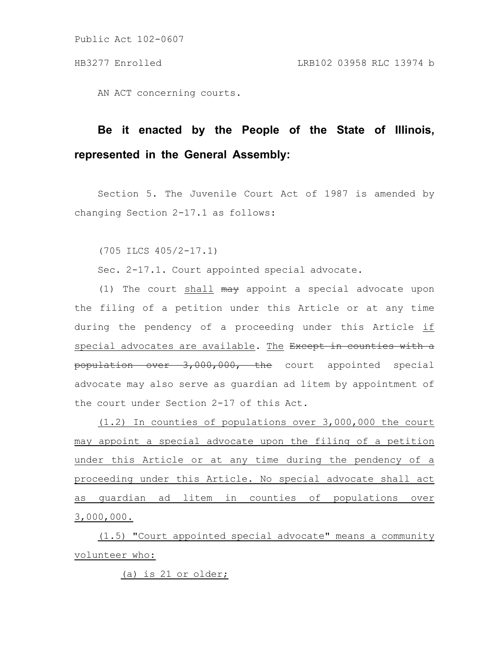AN ACT concerning courts.

## **Be it enacted by the People of the State of Illinois, represented in the General Assembly:**

Section 5. The Juvenile Court Act of 1987 is amended by changing Section 2-17.1 as follows:

(705 ILCS 405/2-17.1)

Sec. 2-17.1. Court appointed special advocate.

(1) The court shall may appoint a special advocate upon the filing of a petition under this Article or at any time during the pendency of a proceeding under this Article if special advocates are available. The Except in counties with a population over 3,000,000, the court appointed special advocate may also serve as guardian ad litem by appointment of the court under Section 2-17 of this Act.

(1.2) In counties of populations over 3,000,000 the court may appoint a special advocate upon the filing of a petition under this Article or at any time during the pendency of a proceeding under this Article. No special advocate shall act as guardian ad litem in counties of populations over 3,000,000.

(1.5) "Court appointed special advocate" means a community volunteer who:

(a) is 21 or older;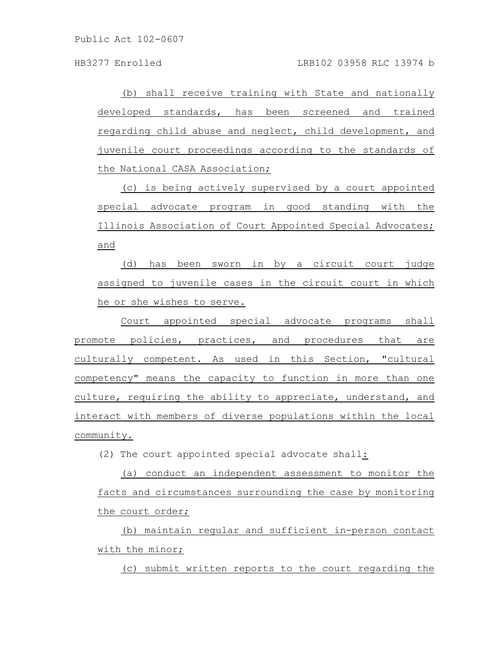(b) shall receive training with State and nationally developed standards, has been screened and trained regarding child abuse and neglect, child development, and juvenile court proceedings according to the standards of the National CASA Association;

(c) is being actively supervised by a court appointed special advocate program in good standing with the Illinois Association of Court Appointed Special Advocates; and

(d) has been sworn in by a circuit court judge assigned to juvenile cases in the circuit court in which he or she wishes to serve.

Court appointed special advocate programs shall promote policies, practices, and procedures that are culturally competent. As used in this Section, "cultural competency" means the capacity to function in more than one culture, requiring the ability to appreciate, understand, and interact with members of diverse populations within the local community.

(2) The court appointed special advocate shall:

(a) conduct an independent assessment to monitor the facts and circumstances surrounding the case by monitoring the court order;

(b) maintain regular and sufficient in-person contact with the minor;

(c) submit written reports to the court regarding the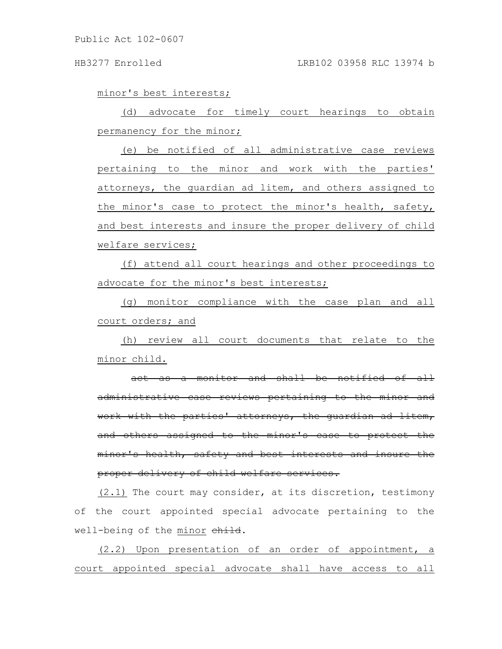## HB3277 Enrolled LRB102 03958 RLC 13974 b

minor's best interests;

(d) advocate for timely court hearings to obtain permanency for the minor;

(e) be notified of all administrative case reviews pertaining to the minor and work with the parties' attorneys, the guardian ad litem, and others assigned to the minor's case to protect the minor's health, safety, and best interests and insure the proper delivery of child welfare services;

(f) attend all court hearings and other proceedings to advocate for the minor's best interests;

(g) monitor compliance with the case plan and all court orders; and

(h) review all court documents that relate to the minor child.

act as a monitor and shall be notified of all administrative case reviews pertaining to the minor and work with the parties' attorneys, the guardian ad litem, and others assigned to the minor's case to protect the minor's health, safety and best interests and insure the proper delivery of child welfare services.

(2.1) The court may consider, at its discretion, testimony of the court appointed special advocate pertaining to the well-being of the minor child.

(2.2) Upon presentation of an order of appointment, a court appointed special advocate shall have access to all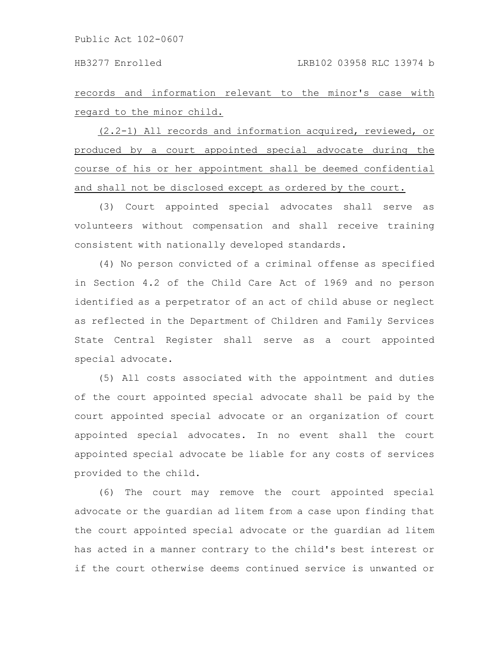records and information relevant to the minor's case with regard to the minor child.

(2.2-1) All records and information acquired, reviewed, or produced by a court appointed special advocate during the course of his or her appointment shall be deemed confidential and shall not be disclosed except as ordered by the court.

(3) Court appointed special advocates shall serve as volunteers without compensation and shall receive training consistent with nationally developed standards.

(4) No person convicted of a criminal offense as specified in Section 4.2 of the Child Care Act of 1969 and no person identified as a perpetrator of an act of child abuse or neglect as reflected in the Department of Children and Family Services State Central Register shall serve as a court appointed special advocate.

(5) All costs associated with the appointment and duties of the court appointed special advocate shall be paid by the court appointed special advocate or an organization of court appointed special advocates. In no event shall the court appointed special advocate be liable for any costs of services provided to the child.

(6) The court may remove the court appointed special advocate or the guardian ad litem from a case upon finding that the court appointed special advocate or the guardian ad litem has acted in a manner contrary to the child's best interest or if the court otherwise deems continued service is unwanted or